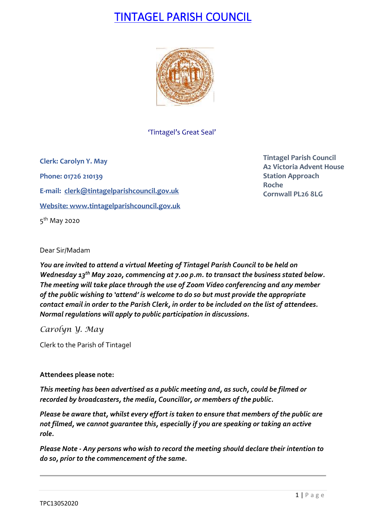# TINTAGEL PARISH COUNCIL



'Tintagel's Great Seal'

**Clerk: Carolyn Y. May Phone: 01726 210139 E-mail: [clerk@tintagelparishcouncil.gov.uk](mailto:clerk@tintagelparishcouncil.gov.uk) Website: [www.tintagelparishcouncil.gov.uk](http://www.tintagelparishcouncil.gov.uk/)** 5<sup>th</sup> May 2020

**Tintagel Parish Council A2 Victoria Advent House Station Approach Roche Cornwall PL26 8LG**

Dear Sir/Madam

*You are invited to attend a virtual Meeting of Tintagel Parish Council to be held on Wednesday 13th May 2020, commencing at 7.00 p.m. to transact the business stated below. The meeting will take place through the use of Zoom Video conferencing and any member of the public wishing to 'attend' is welcome to do so but must provide the appropriate contact email in order to the Parish Clerk, in order to be included on the list of attendees. Normal regulations will apply to public participation in discussions.*

*Carolyn Y. May*

Clerk to the Parish of Tintagel

# **Attendees please note:**

*This meeting has been advertised as a public meeting and, as such, could be filmed or recorded by broadcasters, the media, Councillor, or members of the public.*

*Please be aware that, whilst every effort is taken to ensure that members of the public are not filmed, we cannot guarantee this, especially if you are speaking or taking an active role.*

*Please Note - Any persons who wish to record the meeting should declare their intention to do so, prior to the commencement of the same.*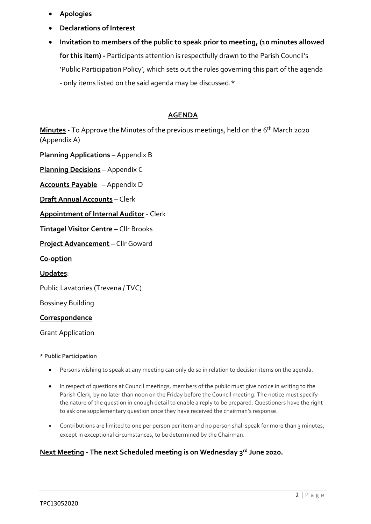- **Apologies**
- **Declarations of Interest**
- **Invitation to members of the public to speak prior to meeting, (10 minutes allowed for this item) -** Participants attention is respectfully drawn to the Parish Council's 'Public Participation Policy', which sets out the rules governing this part of the agenda - only items listed on the said agenda may be discussed.\*

### **AGENDA**

**Minutes** - To Approve the Minutes of the previous meetings, held on the 6<sup>th</sup> March 2020 (Appendix A)

**Planning Applications** – Appendix B

**Planning Decisions** – Appendix C

**Accounts Payable** – Appendix D

**Draft Annual Accounts** – Clerk

**Appointment of Internal Auditor** - Clerk

**Tintagel Visitor Centre –** Cllr Brooks

**Project Advancement** – Cllr Goward

**Co-option**

**Updates**:

Public Lavatories (Trevena / TVC)

Bossiney Building

#### **Correspondence**

Grant Application

**\* Public Participation**

- Persons wishing to speak at any meeting can only do so in relation to decision items on the agenda.
- In respect of questions at Council meetings, members of the public must give notice in writing to the Parish Clerk, by no later than noon on the Friday before the Council meeting. The notice must specify the nature of the question in enough detail to enable a reply to be prepared. Questioners have the right to ask one supplementary question once they have received the chairman's response.
- Contributions are limited to one per person per item and no person shall speak for more than 3 minutes, except in exceptional circumstances, to be determined by the Chairman.

## **Next Meeting - The next Scheduled meeting is on Wednesday 3 rd June 2020.**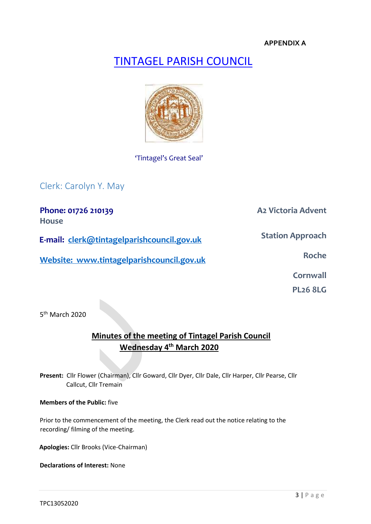## **APPENDIX A**

# TINTAGEL PARISH COUNCIL



## 'Tintagel's Great Seal'

# Clerk: Carolyn Y. May

**Phone: 01726 210139 A2 Victoria Advent House E-mail: clerk@tintagelparishcouncil.gov.uk Station Approach Website:** www.tintagelparishcouncil.gov.uk **Cornwall** 

**PL26 8LG** 

5<sup>th</sup> March 2020

# **Minutes of the meeting of Tintagel Parish Council Wednesday 4th March 2020**

**Present:** Cllr Flower (Chairman), Cllr Goward, Cllr Dyer, Cllr Dale, Cllr Harper, Cllr Pearse, Cllr Callcut, Cllr Tremain

**Members of the Public:** five

Prior to the commencement of the meeting, the Clerk read out the notice relating to the recording/ filming of the meeting.

**Apologies:** Cllr Brooks (Vice-Chairman)

**Declarations of Interest:** None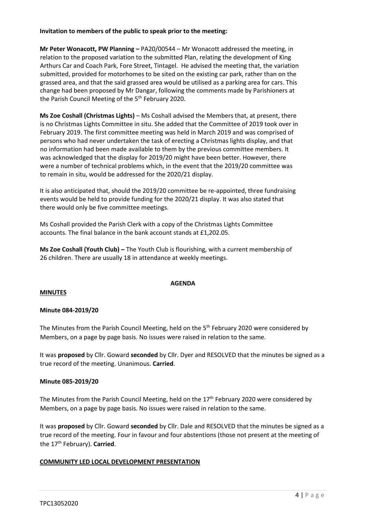#### **Invitation to members of the public to speak prior to the meeting:**

**Mr Peter Wonacott, PW Planning –** PA20/00544 – Mr Wonacott addressed the meeting, in relation to the proposed variation to the submitted Plan, relating the development of King Arthurs Car and Coach Park, Fore Street, Tintagel. He advised the meeting that, the variation submitted, provided for motorhomes to be sited on the existing car park, rather than on the grassed area, and that the said grassed area would be utilised as a parking area for cars. This change had been proposed by Mr Dangar, following the comments made by Parishioners at the Parish Council Meeting of the 5<sup>th</sup> February 2020.

**Ms Zoe Coshall (Christmas Lights)** – Ms Coshall advised the Members that, at present, there is no Christmas Lights Committee in situ. She added that the Committee of 2019 took over in February 2019. The first committee meeting was held in March 2019 and was comprised of persons who had never undertaken the task of erecting a Christmas lights display, and that no information had been made available to them by the previous committee members. It was acknowledged that the display for 2019/20 might have been better. However, there were a number of technical problems which, in the event that the 2019/20 committee was to remain in situ, would be addressed for the 2020/21 display.

It is also anticipated that, should the 2019/20 committee be re-appointed, three fundraising events would be held to provide funding for the 2020/21 display. It was also stated that there would only be five committee meetings.

Ms Coshall provided the Parish Clerk with a copy of the Christmas Lights Committee accounts. The final balance in the bank account stands at £1,202.05.

**Ms Zoe Coshall (Youth Club) –** The Youth Club is flourishing, with a current membership of 26 children. There are usually 18 in attendance at weekly meetings.

#### **AGENDA**

#### **MINUTES**

#### **Minute 084-2019/20**

The Minutes from the Parish Council Meeting, held on the 5<sup>th</sup> February 2020 were considered by Members, on a page by page basis. No issues were raised in relation to the same.

It was **proposed** by Cllr. Goward **seconded** by Cllr. Dyer and RESOLVED that the minutes be signed as a true record of the meeting. Unanimous. **Carried**.

#### **Minute 085-2019/20**

The Minutes from the Parish Council Meeting, held on the 17<sup>th</sup> February 2020 were considered by Members, on a page by page basis. No issues were raised in relation to the same.

It was **proposed** by Cllr. Goward **seconded** by Cllr. Dale and RESOLVED that the minutes be signed as a true record of the meeting. Four in favour and four abstentions (those not present at the meeting of the 17th February). **Carried**.

#### **COMMUNITY LED LOCAL DEVELOPMENT PRESENTATION**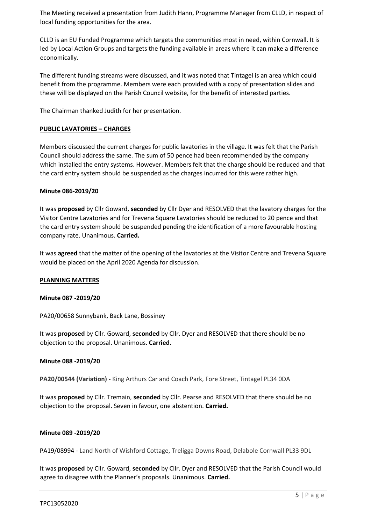The Meeting received a presentation from Judith Hann, Programme Manager from CLLD, in respect of local funding opportunities for the area.

CLLD is an EU Funded Programme which targets the communities most in need, within Cornwall. It is led by Local Action Groups and targets the funding available in areas where it can make a difference economically.

The different funding streams were discussed, and it was noted that Tintagel is an area which could benefit from the programme. Members were each provided with a copy of presentation slides and these will be displayed on the Parish Council website, for the benefit of interested parties.

The Chairman thanked Judith for her presentation.

#### **PUBLIC LAVATORIES – CHARGES**

Members discussed the current charges for public lavatories in the village. It was felt that the Parish Council should address the same. The sum of 50 pence had been recommended by the company which installed the entry systems. However. Members felt that the charge should be reduced and that the card entry system should be suspended as the charges incurred for this were rather high.

#### **Minute 086-2019/20**

It was **proposed** by Cllr Goward, **seconded** by Cllr Dyer and RESOLVED that the lavatory charges for the Visitor Centre Lavatories and for Trevena Square Lavatories should be reduced to 20 pence and that the card entry system should be suspended pending the identification of a more favourable hosting company rate. Unanimous. **Carried.**

It was **agreed** that the matter of the opening of the lavatories at the Visitor Centre and Trevena Square would be placed on the April 2020 Agenda for discussion.

#### **PLANNING MATTERS**

#### **Minute 087 -2019/20**

PA20/00658 Sunnybank, Back Lane, Bossiney

It was **proposed** by Cllr. Goward, **seconded** by Cllr. Dyer and RESOLVED that there should be no objection to the proposal. Unanimous. **Carried.**

#### **Minute 088 -2019/20**

**PA20/00544 (Variation) -** King Arthurs Car and Coach Park, Fore Street, Tintagel PL34 0DA

It was **proposed** by Cllr. Tremain, **seconded** by Cllr. Pearse and RESOLVED that there should be no objection to the proposal. Seven in favour, one abstention. **Carried.**

#### **Minute 089 -2019/20**

PA19/08994 - Land North of Wishford Cottage, Treligga Downs Road, Delabole Cornwall PL33 9DL

It was **proposed** by Cllr. Goward, **seconded** by Cllr. Dyer and RESOLVED that the Parish Council would agree to disagree with the Planner's proposals. Unanimous. **Carried.**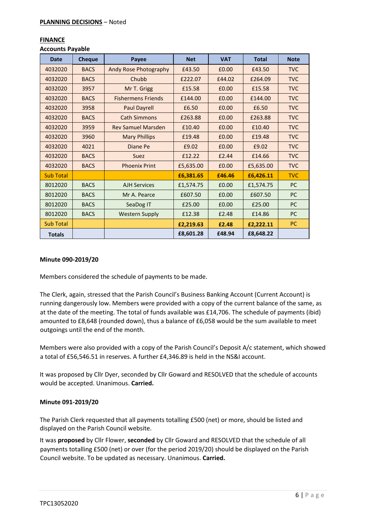#### **FINANCE**

| <b>Accounts Payable</b> |  |
|-------------------------|--|
|-------------------------|--|

| <b>Date</b>      | <b>Cheque</b> | Payee                        | <b>Net</b> | <b>VAT</b> | <b>Total</b> | <b>Note</b> |
|------------------|---------------|------------------------------|------------|------------|--------------|-------------|
| 4032020          | <b>BACS</b>   | <b>Andy Rose Photography</b> | £43.50     | £0.00      | £43.50       | <b>TVC</b>  |
| 4032020          | <b>BACS</b>   | Chubb                        | £222.07    | £44.02     | £264.09      | <b>TVC</b>  |
| 4032020          | 3957          | Mr T. Grigg                  | £15.58     | £0.00      | £15.58       | <b>TVC</b>  |
| 4032020          | <b>BACS</b>   | <b>Fishermens Friends</b>    | £144.00    | £0.00      | £144.00      | <b>TVC</b>  |
| 4032020          | 3958          | <b>Paul Dayrell</b>          | £6.50      | £0.00      | £6.50        | <b>TVC</b>  |
| 4032020          | <b>BACS</b>   | <b>Cath Simmons</b>          | £263.88    | £0.00      | £263.88      | <b>TVC</b>  |
| 4032020          | 3959          | <b>Rev Samuel Marsden</b>    | £10.40     | £0.00      | £10.40       | <b>TVC</b>  |
| 4032020          | 3960          | <b>Mary Phillips</b>         | £19.48     | £0.00      | £19.48       | <b>TVC</b>  |
| 4032020          | 4021          | <b>Diane Pe</b>              | £9.02      | £0.00      | £9.02        | <b>TVC</b>  |
| 4032020          | <b>BACS</b>   | <b>Suez</b>                  | £12.22     | £2.44      | £14.66       | <b>TVC</b>  |
| 4032020          | <b>BACS</b>   | <b>Phoenix Print</b>         | £5,635.00  | £0.00      | £5,635.00    | <b>TVC</b>  |
| <b>Sub Total</b> |               |                              | £6,381.65  | £46.46     | £6,426.11    | <b>TVC</b>  |
| 8012020          | <b>BACS</b>   | <b>AJH Services</b>          | £1,574.75  | £0.00      | £1,574.75    | <b>PC</b>   |
| 8012020          | <b>BACS</b>   | Mr A. Pearce                 | £607.50    | £0.00      | £607.50      | PC          |
| 8012020          | <b>BACS</b>   | SeaDog IT                    | £25.00     | £0.00      | £25.00       | PC          |
| 8012020          | <b>BACS</b>   | <b>Western Supply</b>        | £12.38     | £2.48      | £14.86       | <b>PC</b>   |
| <b>Sub Total</b> |               |                              | £2,219.63  | £2.48      | £2,222.11    | <b>PC</b>   |
| <b>Totals</b>    |               |                              | £8,601.28  | £48.94     | £8,648.22    |             |

#### **Minute 090-2019/20**

Members considered the schedule of payments to be made.

The Clerk, again, stressed that the Parish Council's Business Banking Account (Current Account) is running dangerously low. Members were provided with a copy of the current balance of the same, as at the date of the meeting. The total of funds available was £14,706. The schedule of payments (ibid) amounted to £8,648 (rounded down), thus a balance of £6,058 would be the sum available to meet outgoings until the end of the month.

Members were also provided with a copy of the Parish Council's Deposit A/c statement, which showed a total of £56,546.51 in reserves. A further £4,346.89 is held in the NS&I account.

It was proposed by Cllr Dyer, seconded by Cllr Goward and RESOLVED that the schedule of accounts would be accepted. Unanimous. **Carried.**

#### **Minute 091-2019/20**

The Parish Clerk requested that all payments totalling £500 (net) or more, should be listed and displayed on the Parish Council website.

It was **proposed** by Cllr Flower, **seconded** by Cllr Goward and RESOLVED that the schedule of all payments totalling £500 (net) or over (for the period 2019/20) should be displayed on the Parish Council website. To be updated as necessary. Unanimous. **Carried.**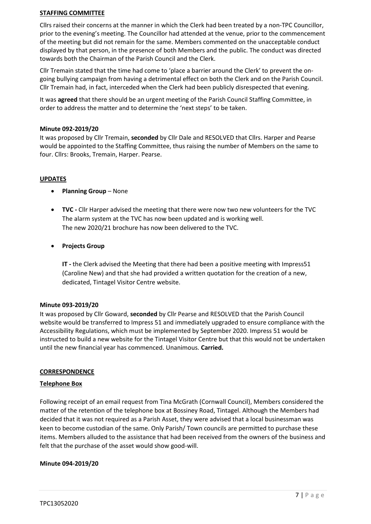#### **STAFFING COMMITTEE**

Cllrs raised their concerns at the manner in which the Clerk had been treated by a non-TPC Councillor, prior to the evening's meeting. The Councillor had attended at the venue, prior to the commencement of the meeting but did not remain for the same. Members commented on the unacceptable conduct displayed by that person, in the presence of both Members and the public. The conduct was directed towards both the Chairman of the Parish Council and the Clerk.

Cllr Tremain stated that the time had come to 'place a barrier around the Clerk' to prevent the ongoing bullying campaign from having a detrimental effect on both the Clerk and on the Parish Council. Cllr Tremain had, in fact, interceded when the Clerk had been publicly disrespected that evening.

It was **agreed** that there should be an urgent meeting of the Parish Council Staffing Committee, in order to address the matter and to determine the 'next steps' to be taken.

#### **Minute 092-2019/20**

It was proposed by Cllr Tremain, **seconded** by Cllr Dale and RESOLVED that Cllrs. Harper and Pearse would be appointed to the Staffing Committee, thus raising the number of Members on the same to four. Cllrs: Brooks, Tremain, Harper. Pearse.

#### **UPDATES**

- **Planning Group**  None
- **TVC -** Cllr Harper advised the meeting that there were now two new volunteers for the TVC The alarm system at the TVC has now been updated and is working well. The new 2020/21 brochure has now been delivered to the TVC.

#### • **Projects Group**

**IT -** the Clerk advised the Meeting that there had been a positive meeting with Impress51 (Caroline New) and that she had provided a written quotation for the creation of a new, dedicated, Tintagel Visitor Centre website.

#### **Minute 093-2019/20**

It was proposed by Cllr Goward, **seconded** by Cllr Pearse and RESOLVED that the Parish Council website would be transferred to Impress 51 and immediately upgraded to ensure compliance with the Accessibility Regulations, which must be implemented by September 2020. Impress 51 would be instructed to build a new website for the Tintagel Visitor Centre but that this would not be undertaken until the new financial year has commenced. Unanimous. **Carried.**

#### **CORRESPONDENCE**

#### **Telephone Box**

Following receipt of an email request from Tina McGrath (Cornwall Council), Members considered the matter of the retention of the telephone box at Bossiney Road, Tintagel. Although the Members had decided that it was not required as a Parish Asset, they were advised that a local businessman was keen to become custodian of the same. Only Parish/ Town councils are permitted to purchase these items. Members alluded to the assistance that had been received from the owners of the business and felt that the purchase of the asset would show good-will.

#### **Minute 094-2019/20**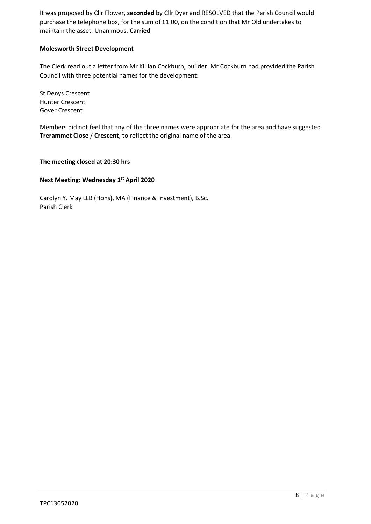It was proposed by Cllr Flower, **seconded** by Cllr Dyer and RESOLVED that the Parish Council would purchase the telephone box, for the sum of £1.00, on the condition that Mr Old undertakes to maintain the asset. Unanimous. **Carried**

#### **Molesworth Street Development**

The Clerk read out a letter from Mr Killian Cockburn, builder. Mr Cockburn had provided the Parish Council with three potential names for the development:

St Denys Crescent Hunter Crescent Gover Crescent

Members did not feel that any of the three names were appropriate for the area and have suggested **Trerammet Close** / **Crescent**, to reflect the original name of the area.

**The meeting closed at 20:30 hrs**

### **Next Meeting: Wednesday 1 st April 2020**

Carolyn Y. May LLB (Hons), MA (Finance & Investment), B.Sc. Parish Clerk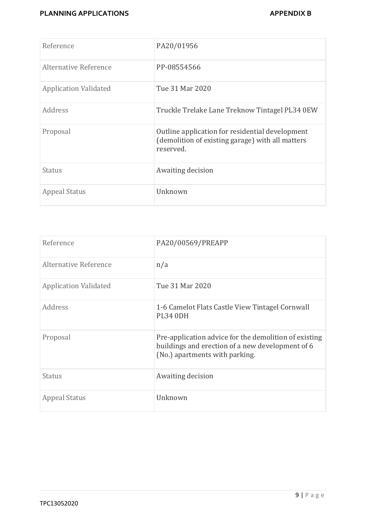| Reference                    | PA20/01956                                                                                                       |
|------------------------------|------------------------------------------------------------------------------------------------------------------|
| Alternative Reference        | PP-08554566                                                                                                      |
| <b>Application Validated</b> | Tue 31 Mar 2020                                                                                                  |
| Address                      | Truckle Trelake Lane Treknow Tintagel PL34 0EW                                                                   |
| Proposal                     | Outline application for residential development<br>(demolition of existing garage) with all matters<br>reserved. |
| Status                       | Awaiting decision                                                                                                |
| <b>Appeal Status</b>         | Unknown                                                                                                          |

| Reference                    | PA20/00569/PREAPP                                                                                                                           |
|------------------------------|---------------------------------------------------------------------------------------------------------------------------------------------|
| Alternative Reference        | n/a                                                                                                                                         |
| <b>Application Validated</b> | Tue 31 Mar 2020                                                                                                                             |
| Address                      | 1-6 Camelot Flats Castle View Tintagel Cornwall<br><b>PL34 0DH</b>                                                                          |
| Proposal                     | Pre-application advice for the demolition of existing<br>buildings and erection of a new development of 6<br>(No.) apartments with parking. |
| Status                       | Awaiting decision                                                                                                                           |
| Appeal Status                | Unknown                                                                                                                                     |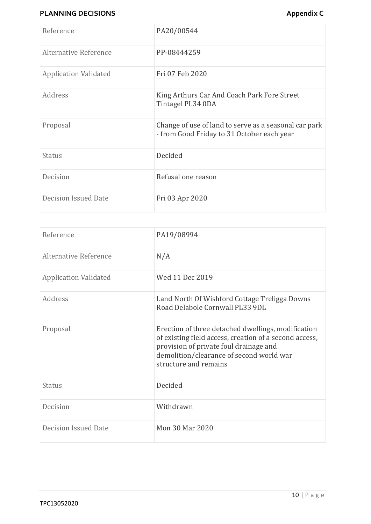# **PLANNING DECISIONS Appendix C**

| Reference                    | PA20/00544                                                                                          |
|------------------------------|-----------------------------------------------------------------------------------------------------|
| Alternative Reference        | PP-08444259                                                                                         |
| <b>Application Validated</b> | Fri 07 Feb 2020                                                                                     |
| Address                      | King Arthurs Car And Coach Park Fore Street<br>Tintagel PL34 0DA                                    |
| Proposal                     | Change of use of land to serve as a seasonal car park<br>- from Good Friday to 31 October each year |
| <b>Status</b>                | Decided                                                                                             |
| Decision                     | Refusal one reason                                                                                  |
| <b>Decision Issued Date</b>  | Fri 03 Apr 2020                                                                                     |

| Reference                    | PA19/08994                                                                                                                                                                                                                  |
|------------------------------|-----------------------------------------------------------------------------------------------------------------------------------------------------------------------------------------------------------------------------|
| Alternative Reference        | N/A                                                                                                                                                                                                                         |
| <b>Application Validated</b> | Wed 11 Dec 2019                                                                                                                                                                                                             |
| Address                      | Land North Of Wishford Cottage Treligga Downs<br>Road Delabole Cornwall PL33 9DL                                                                                                                                            |
| Proposal                     | Erection of three detached dwellings, modification<br>of existing field access, creation of a second access,<br>provision of private foul drainage and<br>demolition/clearance of second world war<br>structure and remains |
| Status                       | Decided                                                                                                                                                                                                                     |
| Decision                     | Withdrawn                                                                                                                                                                                                                   |
| <b>Decision Issued Date</b>  | Mon 30 Mar 2020                                                                                                                                                                                                             |